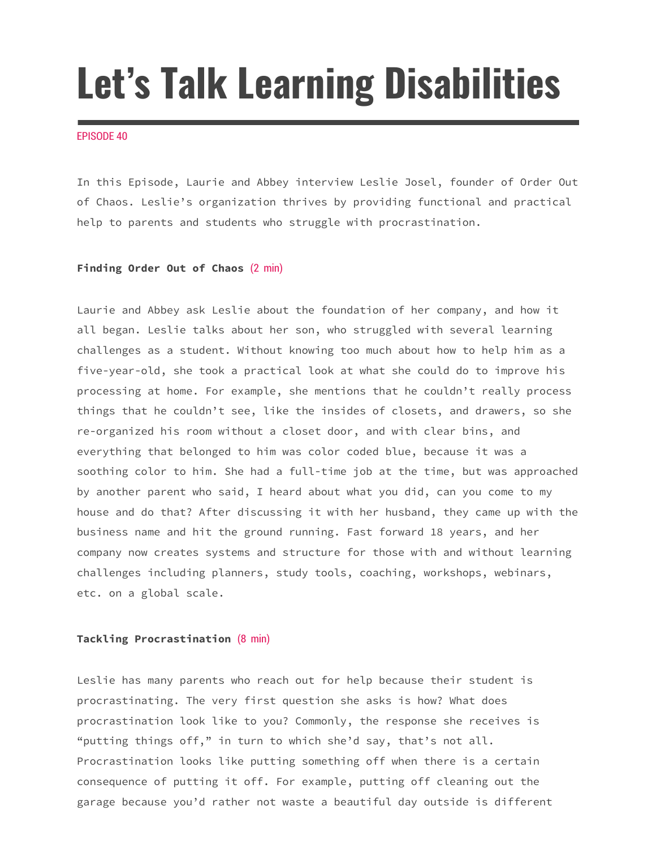# **Let's Talk Learning Disabilities**

### EPISODE 40

In this Episode, Laurie and Abbey interview Leslie Josel, founder of Order Out of Chaos. Leslie's organization thrives by providing functional and practical help to parents and students who struggle with procrastination.

# **Finding Order Out of Chaos** (2 min)

Laurie and Abbey ask Leslie about the foundation of her company, and how it all began. Leslie talks about her son, who struggled with several learning challenges as a student. Without knowing too much about how to help him as a five-year-old, she took a practical look at what she could do to improve his processing at home. For example, she mentions that he couldn't really process things that he couldn't see, like the insides of closets, and drawers, so she re-organized his room without a closet door, and with clear bins, and everything that belonged to him was color coded blue, because it was a soothing color to him. She had a full-time job at the time, but was approached by another parent who said, I heard about what you did, can you come to my house and do that? After discussing it with her husband, they came up with the business name and hit the ground running. Fast forward 18 years, and her company now creates systems and structure for those with and without learning challenges including planners, study tools, coaching, workshops, webinars, etc. on a global scale.

## **Tackling Procrastination** (8 min)

Leslie has many parents who reach out for help because their student is procrastinating. The very first question she asks is how? What does procrastination look like to you? Commonly, the response she receives is "putting things off," in turn to which she'd say, that's not all. Procrastination looks like putting something off when there is a certain consequence of putting it off. For example, putting off cleaning out the garage because you'd rather not waste a beautiful day outside is different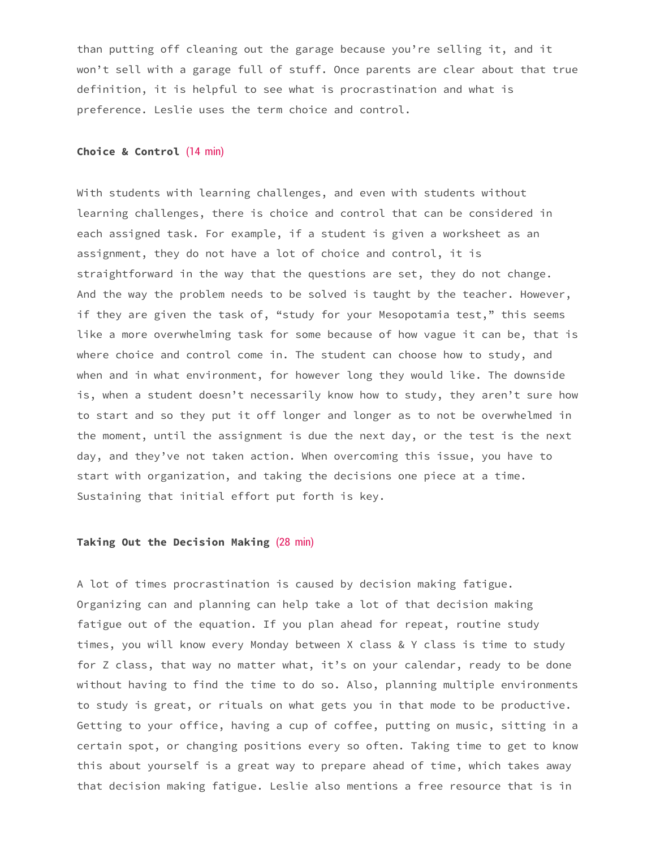than putting off cleaning out the garage because you're selling it, and it won't sell with a garage full of stuff. Once parents are clear about that true definition, it is helpful to see what is procrastination and what is preference. Leslie uses the term choice and control.

## **Choice & Control** (14 min)

With students with learning challenges, and even with students without learning challenges, there is choice and control that can be considered in each assigned task. For example, if a student is given a worksheet as an assignment, they do not have a lot of choice and control, it is straightforward in the way that the questions are set, they do not change. And the way the problem needs to be solved is taught by the teacher. However, if they are given the task of, "study for your Mesopotamia test," this seems like a more overwhelming task for some because of how vague it can be, that is where choice and control come in. The student can choose how to study, and when and in what environment, for however long they would like. The downside is, when a student doesn't necessarily know how to study, they aren't sure how to start and so they put it off longer and longer as to not be overwhelmed in the moment, until the assignment is due the next day, or the test is the next day, and they've not taken action. When overcoming this issue, you have to start with organization, and taking the decisions one piece at a time. Sustaining that initial effort put forth is key.

# **Taking Out the Decision Making** (28 min)

A lot of times procrastination is caused by decision making fatigue. Organizing can and planning can help take a lot of that decision making fatigue out of the equation. If you plan ahead for repeat, routine study times, you will know every Monday between X class & Y class is time to study for Z class, that way no matter what, it's on your calendar, ready to be done without having to find the time to do so. Also, planning multiple environments to study is great, or rituals on what gets you in that mode to be productive. Getting to your office, having a cup of coffee, putting on music, sitting in a certain spot, or changing positions every so often. Taking time to get to know this about yourself is a great way to prepare ahead of time, which takes away that decision making fatigue. Leslie also mentions a free resource that is in